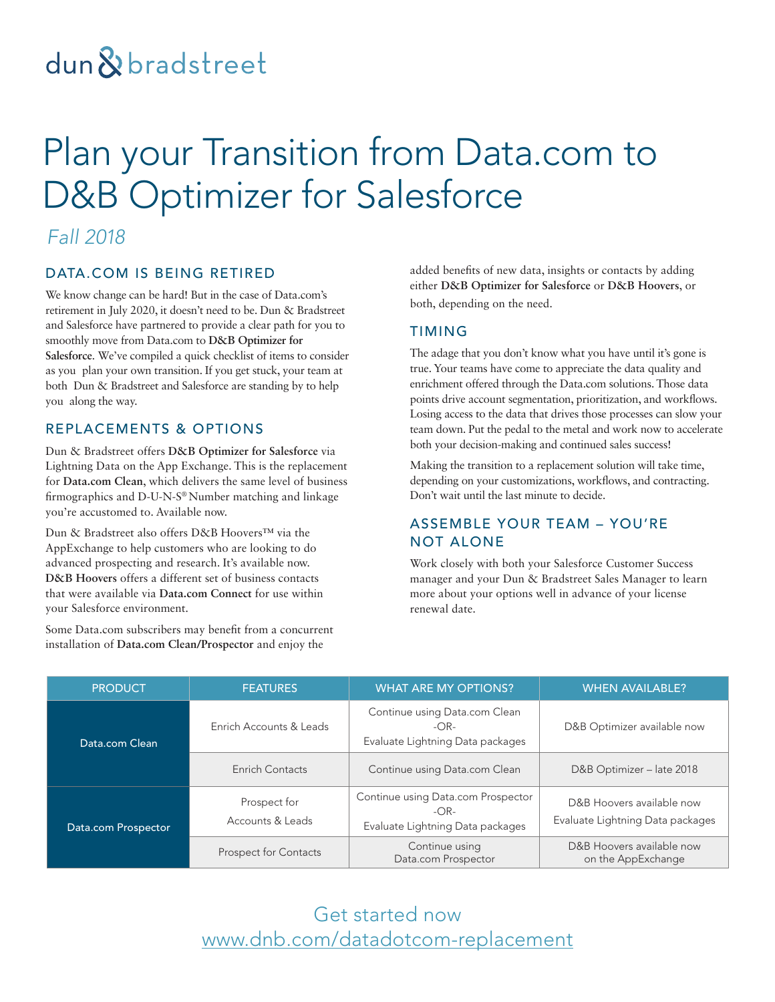# dun&bradstreet

# Plan your Transition from Data.com to D&B Optimizer for Salesforce

### *Fall 2018*

#### DATA.COM IS BEING RETIRED

We know change can be hard! But in the case of Data.com's retirement in July 2020, it doesn't need to be. Dun & Bradstreet and Salesforce have partnered to provide a clear path for you to smoothly move from Data.com to **D&B Optimizer for Salesforce**. We've compiled a quick checklist of items to consider as you plan your own transition. If you get stuck, your team at both Dun & Bradstreet and Salesforce are standing by to help you along the way.

#### REPLACEMENTS & OPTIONS

Dun & Bradstreet offers **D&B Optimizer for Salesforce** via Lightning Data on the App Exchange. This is the replacement for **Data.com Clean**, which delivers the same level of business firmographics and D-U-N-S® Number matching and linkage you're accustomed to. Available now.

Dun & Bradstreet also offers D&B Hoovers™ via the AppExchange to help customers who are looking to do advanced prospecting and research. It's available now. **D&B Hoovers** offers a different set of business contacts that were available via **Data.com Connect** for use within your Salesforce environment.

Some Data.com subscribers may benefit from a concurrent installation of **Data.com Clean/Prospector** and enjoy the

added benefits of new data, insights or contacts by adding either **D&B Optimizer for Salesforce** or **D&B Hoovers**, or both, depending on the need.

#### TIMING

The adage that you don't know what you have until it's gone is true. Your teams have come to appreciate the data quality and enrichment offered through the Data.com solutions. Those data points drive account segmentation, prioritization, and workflows. Losing access to the data that drives those processes can slow your team down. Put the pedal to the metal and work now to accelerate both your decision-making and continued sales success!

Making the transition to a replacement solution will take time, depending on your customizations, workflows, and contracting. Don't wait until the last minute to decide.

#### ASSEMBLE YOUR TEAM – YOU'RE NOT ALONE

Work closely with both your Salesforce Customer Success manager and your Dun & Bradstreet Sales Manager to learn more about your options well in advance of your license renewal date.

| <b>PRODUCT</b>      | <b>FEATURES</b>                  | <b>WHAT ARE MY OPTIONS?</b>                                                      | <b>WHEN AVAILABLE?</b>                                        |
|---------------------|----------------------------------|----------------------------------------------------------------------------------|---------------------------------------------------------------|
| Data.com Clean      | Enrich Accounts & Leads          | Continue using Data.com Clean<br>$-OR-$<br>Evaluate Lightning Data packages      | D&B Optimizer available now                                   |
|                     | Enrich Contacts                  | Continue using Data.com Clean                                                    | D&B Optimizer - late 2018                                     |
| Data.com Prospector | Prospect for<br>Accounts & Leads | Continue using Data.com Prospector<br>$-OR-$<br>Evaluate Lightning Data packages | D&B Hoovers available now<br>Evaluate Lightning Data packages |
|                     | Prospect for Contacts            | Continue using<br>Data.com Prospector                                            | D&B Hoovers available now<br>on the AppExchange               |

### Get started now [www.dnb.com/datadotcom-replacement](http://www.dnb.com/datadotcom-replacement)